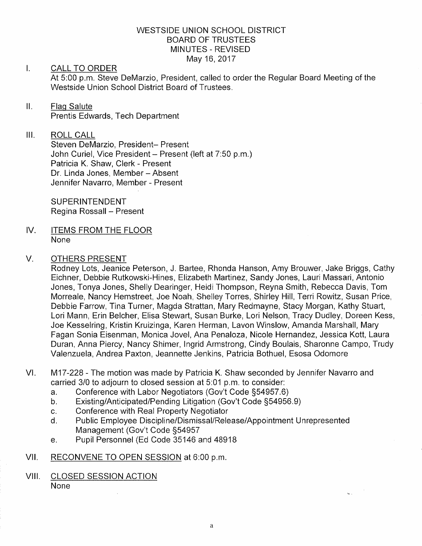## WESTSIDE UNION SCHOOL DISTRICT BOARD OF TRUSTEES MINUTES - REVISED May 16,2017

## $\mathsf{L}$ CALL TO ORDER

At 5:00 p.m. Steve DeMarzio, President, called to order the Regular Board Meeting of the Westside Union School District Board of Trustees.

## $II.$ Flaq Salute Prentìs Edwards, Tech Department

## ilt. ROLL CALL

Steven DeMarzio, President- Present John Curiel, Vice President - Present (left at 7:50 p.m.) Patricia K. Shaw, Clerk - Present Dr. Linda Jones, Member - Absent Jennifer Navarro, Member - Present

SUPERINTENDENT Regina Rossall - Present

IV ITEMS FROM THE FLOOR None

## V. OTHERS PRESENT

Rodney Lots, Jeanice Peterson, J. Bartee, Rhonda Hanson, Amy Brouwer, Jake Briggs, Cathy Eichner, Debbie Rutkowski-Hines, Elizabeth Martinez, Sandy Jones, Lauri Massari, Antonio Jones, Tonya Jones, Shelly Dearinger, Heidi Thompson, Reyna Smith, Rebecca Davis, Tom Morreale, Nancy Hemstreet, Joe Noah, Shelley Torres, Shirley Hill, Terri Rowitz, Susan Price, Debbie Farrow, Tina Turner, Magda Strattan, Mary Redmayne, Stacy Morgan, Kathy Stuart, Lori Mann, Erin Belcher, Elisa Stewaft, Susan Burke, Lori Nelson, Tracy Dudley, Doreen Kess, Joe Kesselring, Kristin Kruizinga, Karen Herman, Lavon Winslow, Amanda Marshall, Mary Fagan Sonia Eisenman, Monica Jovel, Ana Penaloza, Nicole Hernandez, Jessica Kott, Laura Duran, Anna Piercy, Nancy Shimer, lngrid Armstrong, Cindy Boulais, Sharonne Campo, Trudy Valenzuela, Andrea Paxton, Jeannette Jenkins, Patricia Bothuel, Esosa Odomore

- VI M17 -228 - The motion was made by Patricia K. Shaw seconded by Jennifer Navarro and carried 3/0 to adjourn to closed session at 5:01 p.m. to consider:<br>a. Conference with Labor Negotiators (Gov't Code §54957.6)
	-
	-
	-
	- a. Conference with Labor Negotiators (Gov't Code §54957.6)<br>
	b. Existing/Anticipated/Pending Litigation (Gov't Code §54956.9)<br>
	c. Conference with Real Property Negotiator<br>
	d. Public Employee Discipline/Dismissal/Release/App Management (Gov't Code S54957
	- e. Pupil Personnel (Ed Code 35146 and 48918
- vil, RECONVENE TO OPEN SESSION at 6:00 p.m

## VIII. CLOSED SESSION ACTION None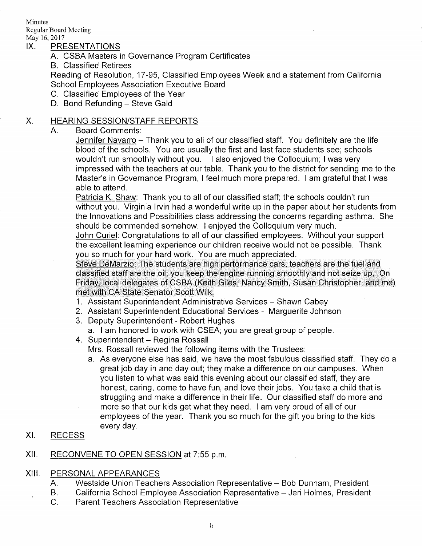Minutes Regular Board Meeting

# IX. PRESENTATIONS

- A. CSBA Masters in Governance Program Certificates
- B. Classified Retirees

Reading of Resolution, 17-95, Classified Employees Week and a statement from California School Employees Association Executive Board

- C. Classified Employees of the Year
- D. Bond Refunding Steve Gald

# X. HEARING SESSION/STAFF REPORTS<br>A. Board Comments:

Jennifer Navarro - Thank you to all of our classified staff. You definitely are the life blood of the schools. You are usually the first and last face students see; schools wouldn't run smoothly without you. I also enjoyed the Colloquium; I was very impressed with the teachers at our table. Thank you to the district for sending me to the Master's in Governance Program, I feel much more prepared. I am grateful that I was able to attend.

Patricia K. Shaw: Thank you to all of our classified staff; the schools couldn't run without you. Virginia Irvin had a wonderful write up in the paper about her students from the lnnovations and Possibilities class addressing the concerns regarding asthma. She should be commended somehow. I enjoyed the Colloquium very much.

John Curiel: Congratulations to all of our classified employees. Without your support the excellent learning experience our children receive would not be possible. Thank you so much for your hard work. You are much appreciated.

Steve DeMarzio: The students are high performance cars, teachers are the fuel and classified staff are the oil; you keep the engine running smoothly and not seize up. On Friday, local delegates of CSBA (Keith Giles, Nancy Smith, Susan Christopher, and me) met with CA State Senator Scott Wilk.

- 1. Assistant Superintendent Administrative Services Shawn Cabey
- 2. Assistant Superintendent Educational Services Margueriie Johnson
- 3. Deputy Superintendent Robert Hughes
	- a. I am honored to work with CSEA; you are great group of people.
- 4. Superintendent Regina Rossall

Mrs. Rossall reviewed the following items with the Trustees:

a. As everyone else has said, we have the most fabulous classified staff. They do a great job day in and day out; they make a difference on our campuses. When you listen to what was said this evening about our classified staff, they are honest, caring, come to have fun, and love their jobs. You take a child that is struggling and make a difference in their life. Our classified staff do more and more so that our kids get what they need. I am very proud of all of our employees of the year. Thank you so much for the gift you bring to the kids every day,

## RECESS  $XL$

## RECONVENE TO OPEN SESSION at 7:55 p.m. xil,

- 
- XIII. PERSONAL APPEARANCES<br>A. Westside Union Teachers Association Representative Bob Dunham, President<br>B. California School Employee Association Representative Jeri Holmes, President<br>C. Parent Teachers Association Repr
	-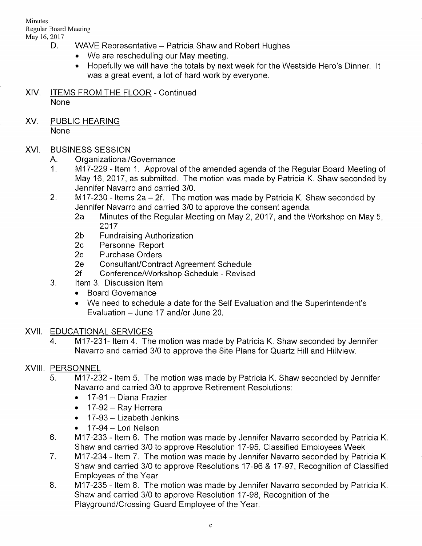Minutes Regular Board Meeting

- D. WAVE Representative Patricia Shaw and Robert Hughes
	- We are rescheduling our May meeting.
	- Hopefully we will have the totals by next week for the Westside Hero's Dinner. It was a great event, a lot of hard work by everyone.
- XlV. ITEMS FROM THE FLOOR Continued None
- XV, PUBLIC HEARING None

- 
- XVI. BUSINESS SESSION<br>A. Organizational/Governance<br>1. M17-229 Item 1. Approval of the amended agenda of the Regular Board Meeting of May 16, 2017, as submitted. The motion was made by Patricia K. Shaw seconded by Jennifer Navarro and carried 3/0.
	- 2. M17-230 Items 2a 2f. The motion was made by Patricia K. Shaw seconded by Jennifer Navarro and carried 3/0 to approve the consent agenda.
		- 2a Minutes of the Regular Meeting on May 2, 2017, and the Workshop on May 5,<br>2017 .
		-
		-
		-
		-
	- 2b Fundraising Authorization<br>
	2c Personnel Report<br>
	2d Purchase Orders<br>
	2e Consultant/Contract Agreement Schedule<br>
	2f Conference/Workshop Schedule Revised<br>
	3. ltem 3. Discussion Item
		- - . Board Governance
			- We need to schedule a date for the Self Evaluation and the Superintendent's Evaluation - June 17 and/or June 20.

XVII. EDUCATIONAL SERVICES<br>4. f{infiint M17-231- ltem 4. The motion was made by Patricia K. Shaw seconded by Jennifer Navarro and carried 3/0 to approve the Site Plans for Quartz Hill and Hillview.

- XVIII, PERSONNEL<br>5. M17-232 Item 5. The motion was made by Patricia K. Shaw seconded by Jennifer Navarro and carried 3/0 to approve Retirement Resolutions:
	- . 17-91 Diana Frazier
	- $\bullet$  17-92 Ray Herrera
	- $\bullet$  17-93 Lizabeth Jenkins
	-
	- 17-94 Lori Nelson<br>17 -94 Lori Nelson 6. The motion was made by Jennifer Navarro seconded by Patricia K.<br>17 -95, Classified Employees Week Shaw and carried 3/0 to approve Resolution 17-95, Classified Employees Week
	- 7. M17-234 Item 7. The motion was made by Jennifer Navarro seconded by Patricia K. Shaw and carried 3/0 to approve Resolutions 17-96 & 17-97, Recognition of Classified
	- Employees of the Year B. latter was made by Jennifer Navarro seconded by Patricia K.<br>B. M17-235 Item 8. The motion was made by Jennifer Navarro seconded by Patricia K. Shaw and carried 3/0 to approve Resolution 17-98, Recognition of the Playground/Crossing Guard Employee of the Year.